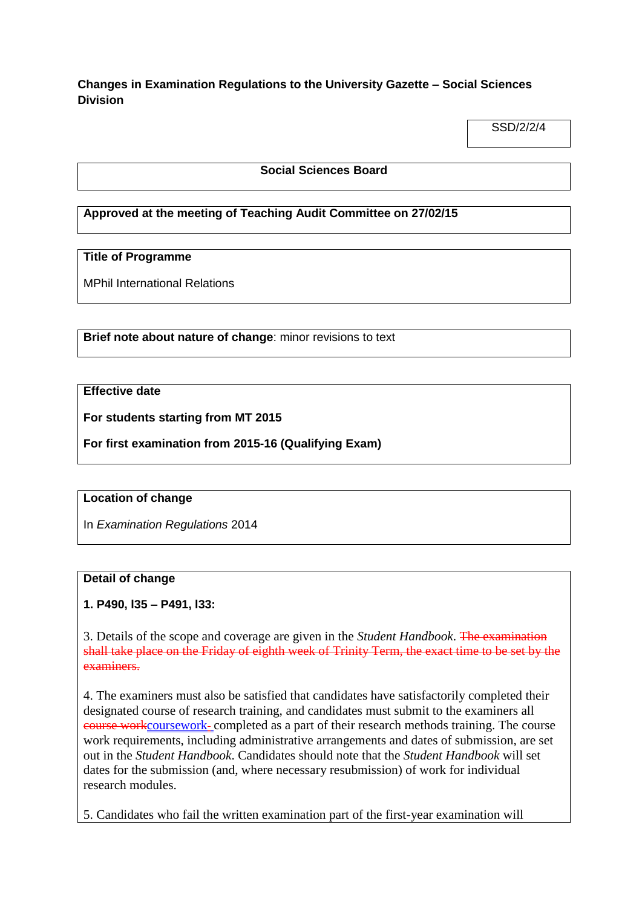**Changes in Examination Regulations to the University Gazette – Social Sciences Division**

SSD/2/2/4

#### **Social Sciences Board**

### **Approved at the meeting of Teaching Audit Committee on 27/02/15**

## **Title of Programme**

MPhil International Relations

**Brief note about nature of change**: minor revisions to text

### **Effective date**

**For students starting from MT 2015**

**For first examination from 2015-16 (Qualifying Exam)**

### **Location of change**

In *Examination Regulations* 2014

### **Detail of change**

### **1. P490, l35 – P491, l33:**

3. Details of the scope and coverage are given in the *Student Handbook*. The examination shall take place on the Friday of eighth week of Trinity Term, the exact time to be set by the examiners.

4. The examiners must also be satisfied that candidates have satisfactorily completed their designated course of research training, and candidates must submit to the examiners all course workcoursework completed as a part of their research methods training. The course work requirements, including administrative arrangements and dates of submission, are set out in the *Student Handbook*. Candidates should note that the *Student Handbook* will set dates for the submission (and, where necessary resubmission) of work for individual research modules.

5. Candidates who fail the written examination part of the first-year examination will